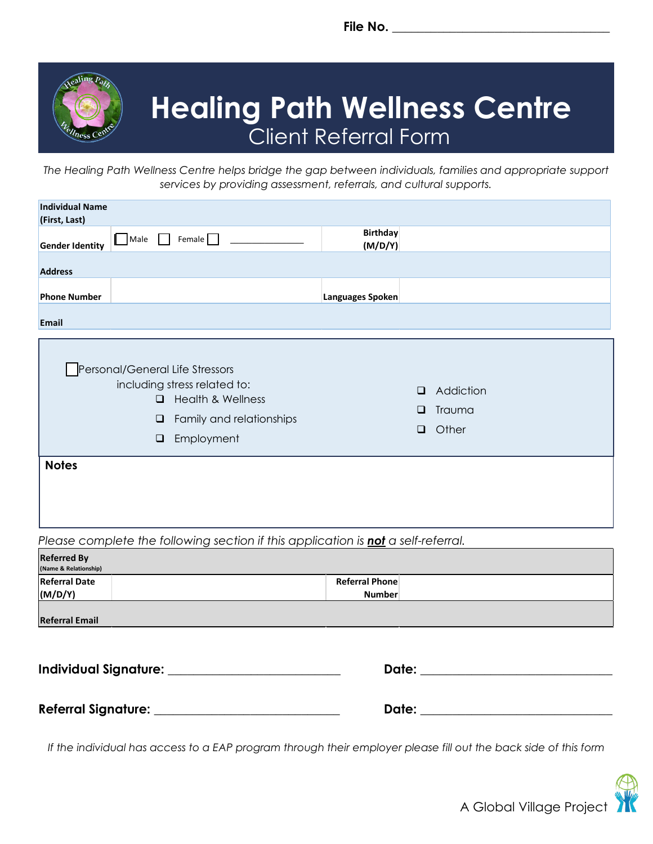**File No. \_\_\_\_\_\_\_\_\_\_\_\_\_\_\_\_\_\_\_\_\_\_\_\_\_\_\_\_\_\_\_\_\_\_**



## **Healing Path Wellness Centre** Client Referral Form

*The Healing Path Wellness Centre helps bridge the gap between individuals, families and appropriate support services by providing assessment, referrals, and cultural supports.* 

| <b>Individual Name</b>                                |                                                                                                                                                                    |                                                       |  |
|-------------------------------------------------------|--------------------------------------------------------------------------------------------------------------------------------------------------------------------|-------------------------------------------------------|--|
| (First, Last)<br><b>Gender Identity</b>               | Female $\Box$<br>$\Box$ Male<br>$\mathbf{1}$                                                                                                                       | <b>Birthday</b><br>(M/D/Y)                            |  |
| <b>Address</b><br><b>Phone Number</b><br><b>Email</b> |                                                                                                                                                                    | Languages Spoken                                      |  |
|                                                       | Personal/General Life Stressors<br>including stress related to:<br><b>Health &amp; Wellness</b><br>$\Box$<br>Family and relationships<br>$\Box$<br>Employment<br>❏ | Addiction<br>$\Box$<br>Trauma<br>□<br>Other<br>$\Box$ |  |
| <b>Notes</b>                                          |                                                                                                                                                                    |                                                       |  |
|                                                       | Please complete the following section if this application is not a self-referral.                                                                                  |                                                       |  |
| <b>Referred By</b><br>(Name & Relationship)           |                                                                                                                                                                    |                                                       |  |
| <b>Referral Date</b><br>(M/D/Y)                       |                                                                                                                                                                    | <b>Referral Phone</b><br><b>Number</b>                |  |

**Referral Email**

**Individual Signature: \_\_\_\_\_\_\_\_\_\_\_\_\_\_\_\_\_\_\_\_\_\_\_\_\_\_\_ Date: \_\_\_\_\_\_\_\_\_\_\_\_\_\_\_\_\_\_\_\_\_\_\_\_\_\_\_\_\_\_**

**Referral Signature: \_\_\_\_\_\_\_\_\_\_\_\_\_\_\_\_\_\_\_\_\_\_\_\_\_\_\_\_\_ Date: \_\_\_\_\_\_\_\_\_\_\_\_\_\_\_\_\_\_\_\_\_\_\_\_\_\_\_\_\_\_**

| ate:) |  |
|-------|--|
|       |  |

*If the individual has access to a EAP program through their employer please fill out the back side of this form*